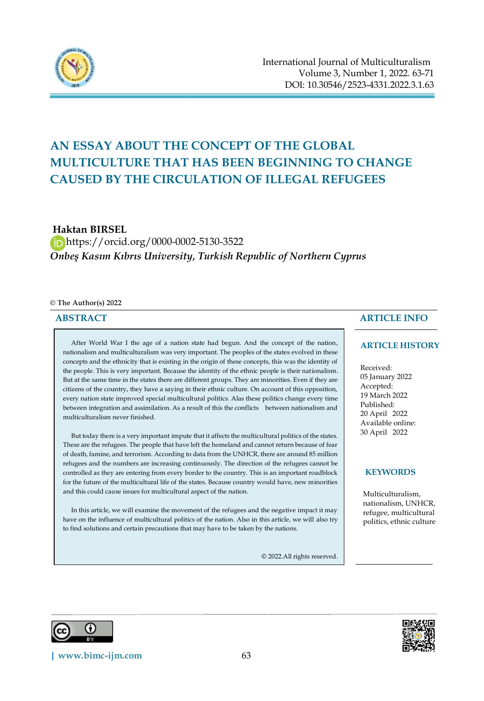

# **AN ESSAY ABOUT THE CONCEPT OF THE GLOBAL MULTICULTURE THAT HAS BEEN BEGINNING TO CHANGE CAUSED BY THE CIRCULATION OF ILLEGAL REFUGEES**

**Haktan BIRSEL**

 https://orcid.org/0000-0002-5130-3522 *Onbeş Kasım Kıbrıs University, Turkish Republic of Northern Cyprus*

#### **© The Author(s) 2022**

# **ABSTRACT**

After World War I the age of a nation state had begun. And the concept of the nation, nationalism and multiculturalism was very important. The peoples of the states evolved in these concepts and the ethnicity that is existing in the origin of these concepts, this was the identity of the people. This is very important. Because the identity of the ethnic people is their nationalism. But at the same time in the states there are different groups. They are minorities. Even if they are citizens of the country, they have a saying in their ethnic culture. On account of this opposition, every nation state improved special multicultural politics. Alas these politics change every time between integration and assimilation. As a result of this the conflicts between nationalism and multiculturalism never finished.

But today there is a very important impute that it affects the multicultural politics of the states. These are the refugees. The people that have left the homeland and cannot return because of fear of death, famine, and terrorism. According to data from the UNHCR, there are around 85 million refugees and the numbers are increasing continuously. The direction of the refugees cannot be controlled as they are entering from every border to the country. This is an important roadblock for the future of the multicultural life of the states. Because country would have, new minorities and this could cause issues for multicultural aspect of the nation.

In this article, we will examine the movement of the refugees and the negative impact it may have on the influence of multicultural politics of the nation. Also in this article, we will also try to find solutions and certain precautions that may have to be taken by the nations.

© 2022.All rights reserved.

# **ARTICLE INFO**

### **ARTICLE HISTORY**

Received: 05 January 2022 Accepted: 19 March 2022 Published: 20 April 2022 Available online: 30 April 2022

## **KEYWORDS**

Multiculturalism, nationalism, UNHCR, refugee, multicultural politics, ethnic culture



j

 $\overline{a}$ 

**[| www.bimc-ijm.com](http://www.bimc-ijm.com/)** 63

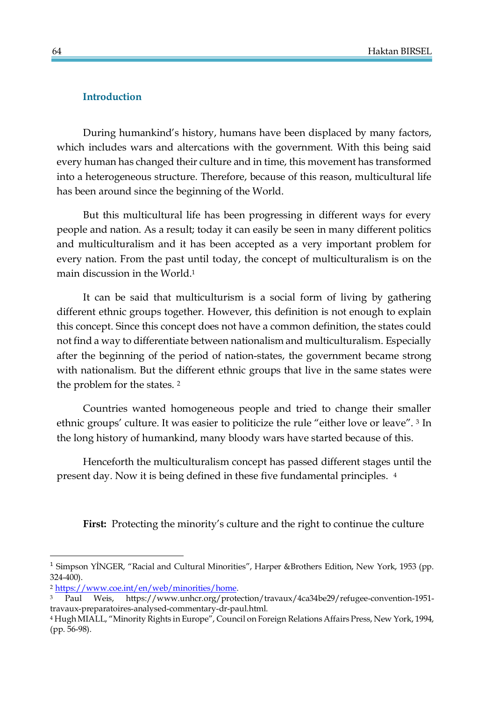# **Introduction**

During humankind's history, humans have been displaced by many factors, which includes wars and altercations with the government. With this being said every human has changed their culture and in time, this movement has transformed into a heterogeneous structure. Therefore, because of this reason, multicultural life has been around since the beginning of the World.

But this multicultural life has been progressing in different ways for every people and nation. As a result; today it can easily be seen in many different politics and multiculturalism and it has been accepted as a very important problem for every nation. From the past until today, the concept of multiculturalism is on the main discussion in the World.<sup>1</sup>

It can be said that multiculturism is a social form of living by gathering different ethnic groups together. However, this definition is not enough to explain this concept. Since this concept does not have a common definition, the states could not find a way to differentiate between nationalism and multiculturalism. Especially after the beginning of the period of nation-states, the government became strong with nationalism. But the different ethnic groups that live in the same states were the problem for the states. <sup>2</sup>

Countries wanted homogeneous people and tried to change their smaller ethnic groups' culture. It was easier to politicize the rule "either love or leave". <sup>3</sup> In the long history of humankind, many bloody wars have started because of this.

Henceforth the multiculturalism concept has passed different stages until the present day. Now it is being defined in these five fundamental principles. <sup>4</sup>

**First:** Protecting the minority's culture and the right to continue the culture

 $\overline{\phantom{a}}$ 

<sup>&</sup>lt;sup>1</sup> Simpson YİNGER, "Racial and Cultural Minorities", Harper &Brothers Edition, New York, 1953 (pp. 324-400).

<sup>2</sup> [https://www.coe.int/en/web/minorities/home.](https://www.coe.int/en/web/minorities/home)

Paul Weis, https://www.unhcr.org/protection/travaux/4ca34be29/refugee-convention-1951travaux-preparatoires-analysed-commentary-dr-paul.html.

<sup>4</sup> Hugh MIALL, "Minority Rights in Europe", Council on Foreign Relations Affairs Press, New York, 1994, (pp. 56-98).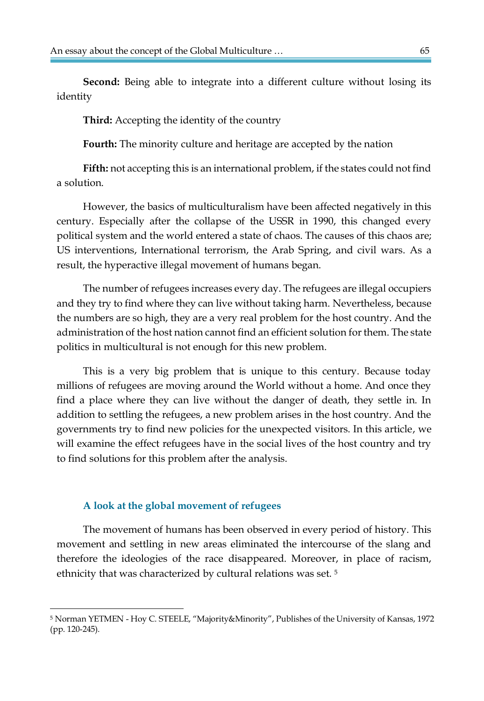**Second:** Being able to integrate into a different culture without losing its identity

**Third:** Accepting the identity of the country

**Fourth:** The minority culture and heritage are accepted by the nation

**Fifth:** not accepting this is an international problem, if the states could not find a solution.

However, the basics of multiculturalism have been affected negatively in this century. Especially after the collapse of the USSR in 1990, this changed every political system and the world entered a state of chaos. The causes of this chaos are; US interventions, International terrorism, the Arab Spring, and civil wars. As a result, the hyperactive illegal movement of humans began.

The number of refugees increases every day. The refugees are illegal occupiers and they try to find where they can live without taking harm. Nevertheless, because the numbers are so high, they are a very real problem for the host country. And the administration of the host nation cannot find an efficient solution for them. The state politics in multicultural is not enough for this new problem.

This is a very big problem that is unique to this century. Because today millions of refugees are moving around the World without a home. And once they find a place where they can live without the danger of death, they settle in. In addition to settling the refugees, a new problem arises in the host country. And the governments try to find new policies for the unexpected visitors. In this article, we will examine the effect refugees have in the social lives of the host country and try to find solutions for this problem after the analysis.

# **A look at the global movement of refugees**

 $\overline{\phantom{a}}$ 

The movement of humans has been observed in every period of history. This movement and settling in new areas eliminated the intercourse of the slang and therefore the ideologies of the race disappeared. Moreover, in place of racism, ethnicity that was characterized by cultural relations was set. <sup>5</sup>

<sup>5</sup> Norman YETMEN - Hoy C. STEELE, "Majority&Minority", Publishes of the University of Kansas, 1972 (pp. 120-245).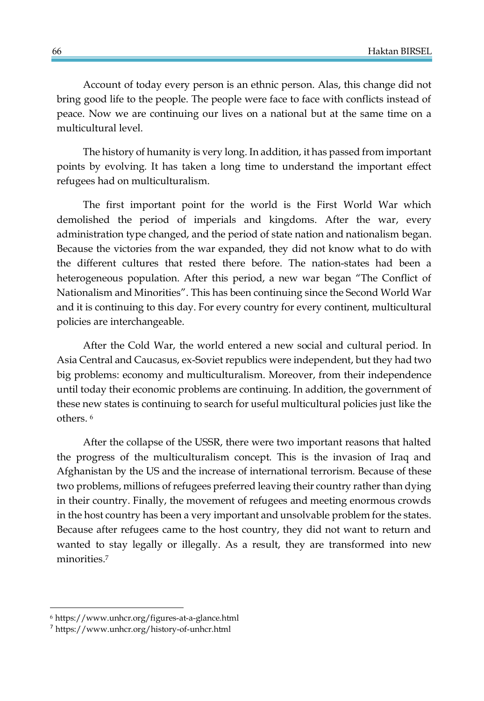Account of today every person is an ethnic person. Alas, this change did not bring good life to the people. The people were face to face with conflicts instead of peace. Now we are continuing our lives on a national but at the same time on a multicultural level.

The history of humanity is very long. In addition, it has passed from important points by evolving. It has taken a long time to understand the important effect refugees had on multiculturalism.

The first important point for the world is the First World War which demolished the period of imperials and kingdoms. After the war, every administration type changed, and the period of state nation and nationalism began. Because the victories from the war expanded, they did not know what to do with the different cultures that rested there before. The nation-states had been a heterogeneous population. After this period, a new war began "The Conflict of Nationalism and Minorities". This has been continuing since the Second World War and it is continuing to this day. For every country for every continent, multicultural policies are interchangeable.

After the Cold War, the world entered a new social and cultural period. In Asia Central and Caucasus, ex-Soviet republics were independent, but they had two big problems: economy and multiculturalism. Moreover, from their independence until today their economic problems are continuing. In addition, the government of these new states is continuing to search for useful multicultural policies just like the others. <sup>6</sup>

After the collapse of the USSR, there were two important reasons that halted the progress of the multiculturalism concept. This is the invasion of Iraq and Afghanistan by the US and the increase of international terrorism. Because of these two problems, millions of refugees preferred leaving their country rather than dying in their country. Finally, the movement of refugees and meeting enormous crowds in the host country has been a very important and unsolvable problem for the states. Because after refugees came to the host country, they did not want to return and wanted to stay legally or illegally. As a result, they are transformed into new minorities.<sup>7</sup>

 $\overline{a}$ 

<sup>6</sup> https://www.unhcr.org/figures-at-a-glance.html

<sup>7</sup> https://www.unhcr.org/history-of-unhcr.html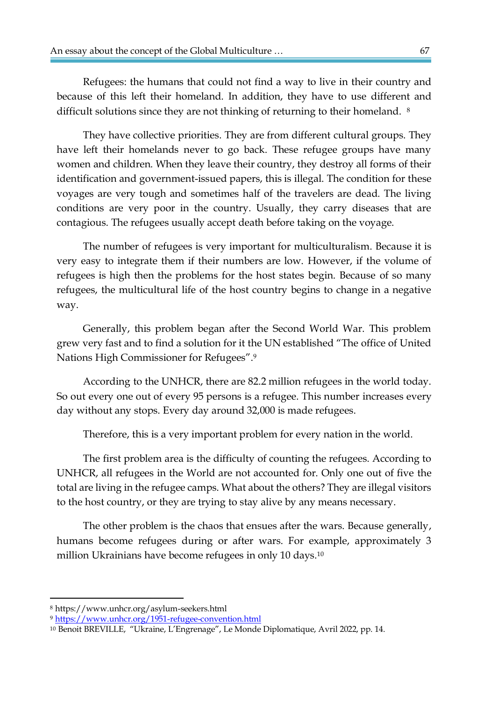Refugees: the humans that could not find a way to live in their country and because of this left their homeland. In addition, they have to use different and difficult solutions since they are not thinking of returning to their homeland. <sup>8</sup>

They have collective priorities. They are from different cultural groups. They have left their homelands never to go back. These refugee groups have many women and children. When they leave their country, they destroy all forms of their identification and government-issued papers, this is illegal. The condition for these voyages are very tough and sometimes half of the travelers are dead. The living conditions are very poor in the country. Usually, they carry diseases that are contagious. The refugees usually accept death before taking on the voyage.

The number of refugees is very important for multiculturalism. Because it is very easy to integrate them if their numbers are low. However, if the volume of refugees is high then the problems for the host states begin. Because of so many refugees, the multicultural life of the host country begins to change in a negative way.

Generally, this problem began after the Second World War. This problem grew very fast and to find a solution for it the UN established "The office of United Nations High Commissioner for Refugees".<sup>9</sup>

According to the UNHCR, there are 82.2 million refugees in the world today. So out every one out of every 95 persons is a refugee. This number increases every day without any stops. Every day around 32,000 is made refugees.

Therefore, this is a very important problem for every nation in the world.

The first problem area is the difficulty of counting the refugees. According to UNHCR, all refugees in the World are not accounted for. Only one out of five the total are living in the refugee camps. What about the others? They are illegal visitors to the host country, or they are trying to stay alive by any means necessary.

The other problem is the chaos that ensues after the wars. Because generally, humans become refugees during or after wars. For example, approximately 3 million Ukrainians have become refugees in only 10 days.<sup>10</sup>

 $\overline{\phantom{a}}$ 

<sup>8</sup> https://www.unhcr.org/asylum-seekers.html

<sup>9</sup> <https://www.unhcr.org/1951-refugee-convention.html>

<sup>10</sup> Benoit BREVILLE, "Ukraine, L'Engrenage", Le Monde Diplomatique, Avril 2022, pp. 14.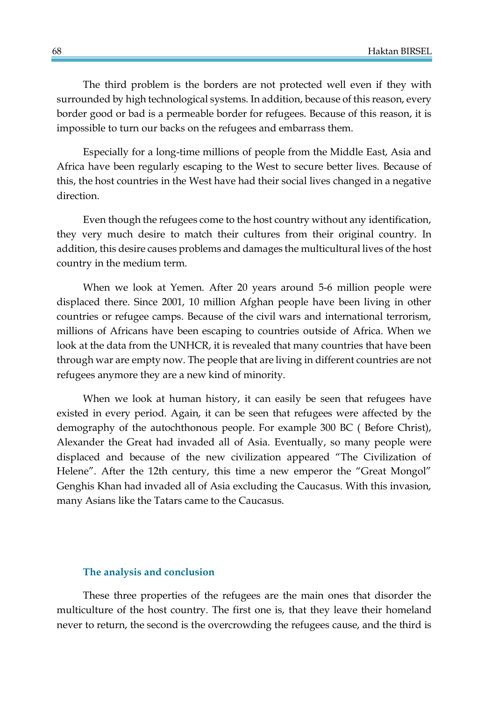The third problem is the borders are not protected well even if they with surrounded by high technological systems. In addition, because of this reason, every border good or bad is a permeable border for refugees. Because of this reason, it is impossible to turn our backs on the refugees and embarrass them.

Especially for a long-time millions of people from the Middle East, Asia and Africa have been regularly escaping to the West to secure better lives. Because of this, the host countries in the West have had their social lives changed in a negative direction.

Even though the refugees come to the host country without any identification, they very much desire to match their cultures from their original country. In addition, this desire causes problems and damages the multicultural lives of the host country in the medium term.

When we look at Yemen. After 20 years around 5-6 million people were displaced there. Since 2001, 10 million Afghan people have been living in other countries or refugee camps. Because of the civil wars and international terrorism, millions of Africans have been escaping to countries outside of Africa. When we look at the data from the UNHCR, it is revealed that many countries that have been through war are empty now. The people that are living in different countries are not refugees anymore they are a new kind of minority.

When we look at human history, it can easily be seen that refugees have existed in every period. Again, it can be seen that refugees were affected by the demography of the autochthonous people. For example 300 BC ( Before Christ), Alexander the Great had invaded all of Asia. Eventually, so many people were displaced and because of the new civilization appeared "The Civilization of Helene". After the 12th century, this time a new emperor the "Great Mongol" Genghis Khan had invaded all of Asia excluding the Caucasus. With this invasion, many Asians like the Tatars came to the Caucasus.

# **The analysis and conclusion**

These three properties of the refugees are the main ones that disorder the multiculture of the host country. The first one is, that they leave their homeland never to return, the second is the overcrowding the refugees cause, and the third is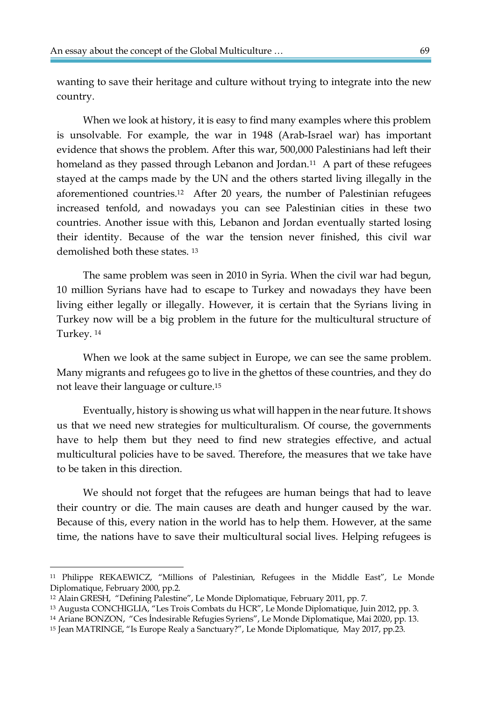wanting to save their heritage and culture without trying to integrate into the new country.

When we look at history, it is easy to find many examples where this problem is unsolvable. For example, the war in 1948 (Arab-Israel war) has important evidence that shows the problem. After this war, 500,000 Palestinians had left their homeland as they passed through Lebanon and Jordan.<sup>11</sup> A part of these refugees stayed at the camps made by the UN and the others started living illegally in the aforementioned countries.12 After 20 years, the number of Palestinian refugees increased tenfold, and nowadays you can see Palestinian cities in these two countries. Another issue with this, Lebanon and Jordan eventually started losing their identity. Because of the war the tension never finished, this civil war demolished both these states. <sup>13</sup>

The same problem was seen in 2010 in Syria. When the civil war had begun, 10 million Syrians have had to escape to Turkey and nowadays they have been living either legally or illegally. However, it is certain that the Syrians living in Turkey now will be a big problem in the future for the multicultural structure of Turkey. <sup>14</sup>

When we look at the same subject in Europe, we can see the same problem. Many migrants and refugees go to live in the ghettos of these countries, and they do not leave their language or culture.<sup>15</sup>

Eventually, history is showing us what will happen in the near future. It shows us that we need new strategies for multiculturalism. Of course, the governments have to help them but they need to find new strategies effective, and actual multicultural policies have to be saved. Therefore, the measures that we take have to be taken in this direction.

We should not forget that the refugees are human beings that had to leave their country or die. The main causes are death and hunger caused by the war. Because of this, every nation in the world has to help them. However, at the same time, the nations have to save their multicultural social lives. Helping refugees is

 $\overline{\phantom{a}}$ 

<sup>11</sup> Philippe REKAEWICZ, "Millions of Palestinian, Refugees in the Middle East", Le Monde Diplomatique, February 2000, pp.2.

<sup>12</sup> Alain GRESH, "Defining Palestine", Le Monde Diplomatique, February 2011, pp. 7.

<sup>13</sup> Augusta CONCHIGLIA, "Les Trois Combats du HCR", Le Monde Diplomatique, Juin 2012, pp. 3.

<sup>14</sup> Ariane BONZON, "Ces İndesirable Refugies Syriens", Le Monde Diplomatique, Mai 2020, pp. 13.

<sup>15</sup> Jean MATRINGE, "Is Europe Realy a Sanctuary?", Le Monde Diplomatique, May 2017, pp.23.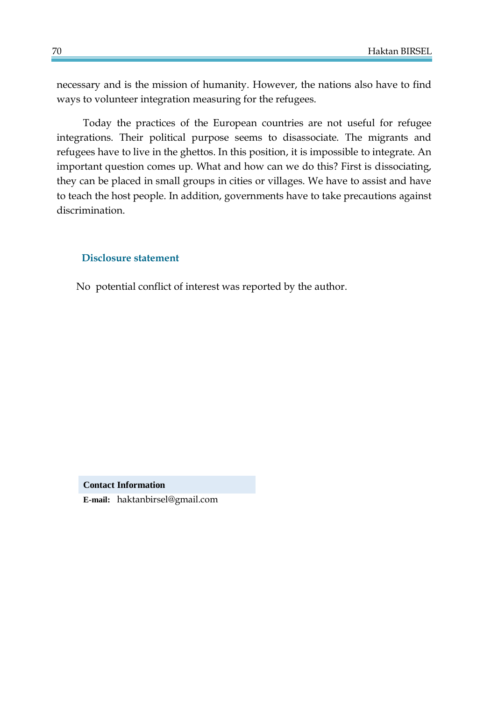necessary and is the mission of humanity. However, the nations also have to find ways to volunteer integration measuring for the refugees.

Today the practices of the European countries are not useful for refugee integrations. Their political purpose seems to disassociate. The migrants and refugees have to live in the ghettos. In this position, it is impossible to integrate. An important question comes up. What and how can we do this? First is dissociating, they can be placed in small groups in cities or villages. We have to assist and have to teach the host people. In addition, governments have to take precautions against discrimination.

# **Disclosure statement**

No potential conflict of interest was reported by the author.

**Contact Information**

**E-mail:** haktanbirsel@gmail.com